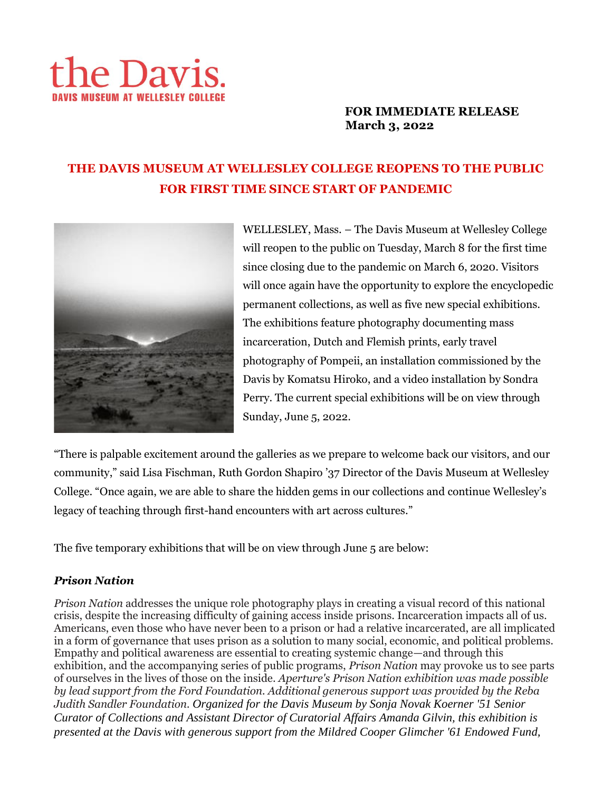# the Davis.

# **FOR IMMEDIATE RELEASE March 3, 2022**

# **THE DAVIS MUSEUM AT WELLESLEY COLLEGE REOPENS TO THE PUBLIC FOR FIRST TIME SINCE START OF PANDEMIC**



WELLESLEY, Mass. – The Davis Museum at Wellesley College will reopen to the public on Tuesday, March 8 for the first time since closing due to the pandemic on March 6, 2020. Visitors will once again have the opportunity to explore the encyclopedic permanent collections, as well as five new special exhibitions. The exhibitions feature photography documenting mass incarceration, Dutch and Flemish prints, early travel photography of Pompeii, an installation commissioned by the Davis by Komatsu Hiroko, and a video installation by Sondra Perry. The current special exhibitions will be on view through Sunday, June 5, 2022.

"There is palpable excitement around the galleries as we prepare to welcome back our visitors, and our community," said Lisa Fischman, Ruth Gordon Shapiro '37 Director of the Davis Museum at Wellesley College. "Once again, we are able to share the hidden gems in our collections and continue Wellesley's legacy of teaching through first-hand encounters with art across cultures."

The five temporary exhibitions that will be on view through June 5 are below:

# *Prison Nation*

*Prison Nation* addresses the unique role photography plays in creating a visual record of this national crisis, despite the increasing difficulty of gaining access inside prisons. Incarceration impacts all of us. Americans, even those who have never been to a prison or had a relative incarcerated, are all implicated in a form of governance that uses prison as a solution to many social, economic, and political problems. Empathy and political awareness are essential to creating systemic change—and through this exhibition, and the accompanying series of public programs, *Prison Nation* may provoke us to see parts of ourselves in the lives of those on the inside. *Aperture's Prison Nation exhibition was made possible by lead support from the Ford Foundation. Additional generous support was provided by the Reba Judith Sandler Foundation. Organized for the Davis Museum by Sonja Novak Koerner '51 Senior Curator of Collections and Assistant Director of Curatorial Affairs Amanda Gilvin, this exhibition is presented at the Davis with generous support from the Mildred Cooper Glimcher '61 Endowed Fund,*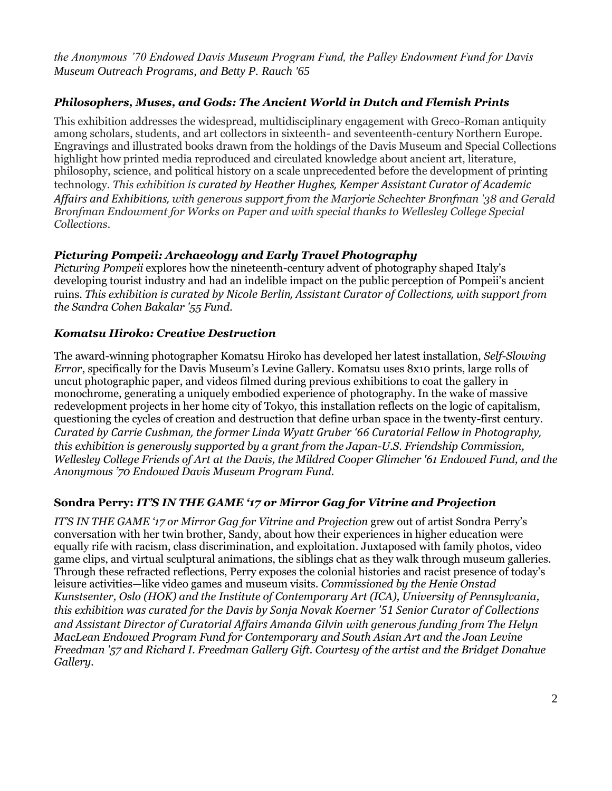*the Anonymous '70 Endowed Davis Museum Program Fund, the Palley Endowment Fund for Davis Museum Outreach Programs, and Betty P. Rauch '65*

## *Philosophers, Muses, and Gods: The Ancient World in Dutch and Flemish Prints*

This exhibition addresses the widespread, multidisciplinary engagement with Greco-Roman antiquity among scholars, students, and art collectors in sixteenth- and seventeenth-century Northern Europe. Engravings and illustrated books drawn from the holdings of the Davis Museum and Special Collections highlight how printed media reproduced and circulated knowledge about ancient art, literature, philosophy, science, and political history on a scale unprecedented before the development of printing technology. *This exhibition is curated by Heather Hughes, Kemper Assistant Curator of Academic Affairs and Exhibitions, with generous support from the Marjorie Schechter Bronfman '38 and Gerald Bronfman Endowment for Works on Paper and with special thanks to Wellesley College Special Collections.*

# *Picturing Pompeii: Archaeology and Early Travel Photography*

*Picturing Pompeii* explores how the nineteenth-century advent of photography shaped Italy's developing tourist industry and had an indelible impact on the public perception of Pompeii's ancient ruins. *This exhibition is curated by Nicole Berlin, Assistant Curator of Collections, with support from the Sandra Cohen Bakalar '55 Fund.*

## *Komatsu Hiroko: Creative Destruction*

The award-winning photographer Komatsu Hiroko has developed her latest installation, *Self-Slowing Error*, specifically for the Davis Museum's Levine Gallery. Komatsu uses 8x10 prints, large rolls of uncut photographic paper, and videos filmed during previous exhibitions to coat the gallery in monochrome, generating a uniquely embodied experience of photography. In the wake of massive redevelopment projects in her home city of Tokyo, this installation reflects on the logic of capitalism, questioning the cycles of creation and destruction that define urban space in the twenty-first century. *Curated by Carrie Cushman, the former Linda Wyatt Gruber '66 Curatorial Fellow in Photography, this exhibition is generously supported by a grant from the Japan-U.S. Friendship Commission, Wellesley College Friends of Art at the Davis, the Mildred Cooper Glimcher '61 Endowed Fund, and the Anonymous '70 Endowed Davis Museum Program Fund.* 

## **Sondra Perry:** *IT'S IN THE GAME '17 or Mirror Gag for Vitrine and Projection*

*IT'S IN THE GAME '17 or Mirror Gag for Vitrine and Projection grew out of artist Sondra Perry's* conversation with her twin brother, Sandy, about how their experiences in higher education were equally rife with racism, class discrimination, and exploitation. Juxtaposed with family photos, video game clips, and virtual sculptural animations, the siblings chat as they walk through museum galleries. Through these refracted reflections, Perry exposes the colonial histories and racist presence of today's leisure activities—like video games and museum visits. *Commissioned by the Henie Onstad Kunstsenter, Oslo (HOK) and the Institute of Contemporary Art (ICA), University of Pennsylvania, this exhibition was curated for the Davis by Sonja Novak Koerner '51 Senior Curator of Collections and Assistant Director of Curatorial Affairs Amanda Gilvin with generous funding from The Helyn MacLean Endowed Program Fund for Contemporary and South Asian Art and the Joan Levine Freedman '57 and Richard I. Freedman Gallery Gift. Courtesy of the artist and the Bridget Donahue Gallery.*